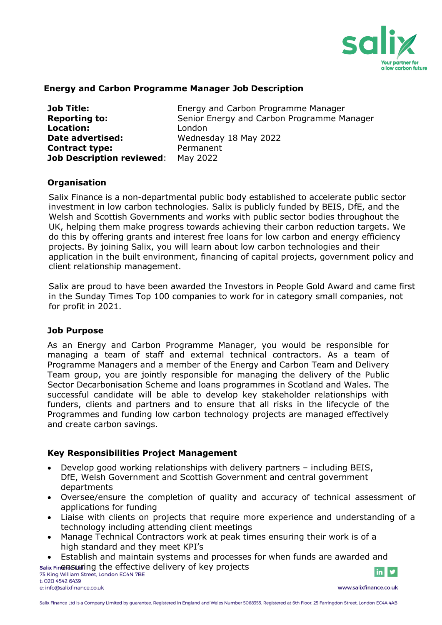

### **Energy and Carbon Programme Manager Job Description**

| <b>Job Title:</b>                | Energy and Carbon Programme Manager        |
|----------------------------------|--------------------------------------------|
| <b>Reporting to:</b>             | Senior Energy and Carbon Programme Manager |
| <b>Location:</b>                 | London                                     |
| Date advertised:                 | Wednesday 18 May 2022                      |
| <b>Contract type:</b>            | Permanent                                  |
| <b>Job Description reviewed:</b> | May 2022                                   |

### **Organisation**

Salix Finance is a non-departmental public body established to accelerate public sector investment in low carbon technologies. Salix is publicly funded by BEIS, DfE, and the Welsh and Scottish Governments and works with public sector bodies throughout the UK, helping them make progress towards achieving their carbon reduction targets. We do this by offering grants and interest free loans for low carbon and energy efficiency projects. By joining Salix, you will learn about low carbon technologies and their application in the built environment, financing of capital projects, government policy and client relationship management.

Salix are proud to have been awarded the Investors in People Gold Award and came first in the Sunday Times Top 100 companies to work for in category small companies, not for profit in 2021.

### **Job Purpose**

As an Energy and Carbon Programme Manager, you would be responsible for managing a team of staff and external technical contractors. As a team of Programme Managers and a member of the Energy and Carbon Team and Delivery Team group, you are jointly responsible for managing the delivery of the Public Sector Decarbonisation Scheme and loans programmes in Scotland and Wales. The successful candidate will be able to develop key stakeholder relationships with funders, clients and partners and to ensure that all risks in the lifecycle of the Programmes and funding low carbon technology projects are managed effectively and create carbon savings.

### **Key Responsibilities Project Management**

- Develop good working relationships with delivery partners including BEIS, DfE, Welsh Government and Scottish Government and central government departments
- Oversee/ensure the completion of quality and accuracy of technical assessment of applications for funding
- Liaise with clients on projects that require more experience and understanding of a technology including attending client meetings
- Manage Technical Contractors work at peak times ensuring their work is of a high standard and they meet KPI's
- Establish and maintain systems and processes for when funds are awarded and

salix Fine asut ing the effective delivery of key projects 75 King William Street, London EC4N 7BE

t: 020 4542 6439 e: info@salixfinance.co.uk

www.salixfinance.co.uk

 $\ln$   $\blacktriangleright$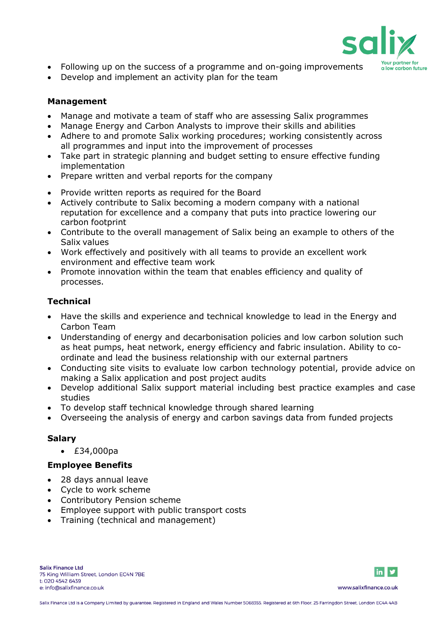

- Following up on the success of a programme and on-going improvements
- Develop and implement an activity plan for the team

## **Management**

- Manage and motivate a team of staff who are assessing Salix programmes
- Manage Energy and Carbon Analysts to improve their skills and abilities
- Adhere to and promote Salix working procedures; working consistently across all programmes and input into the improvement of processes
- Take part in strategic planning and budget setting to ensure effective funding implementation
- Prepare written and verbal reports for the company
- Provide written reports as required for the Board
- Actively contribute to Salix becoming a modern company with a national reputation for excellence and a company that puts into practice lowering our carbon footprint
- Contribute to the overall management of Salix being an example to others of the Salix values
- Work effectively and positively with all teams to provide an excellent work environment and effective team work
- Promote innovation within the team that enables efficiency and quality of processes.

# **Technical**

- Have the skills and experience and technical knowledge to lead in the Energy and Carbon Team
- Understanding of energy and decarbonisation policies and low carbon solution such as heat pumps, heat network, energy efficiency and fabric insulation. Ability to coordinate and lead the business relationship with our external partners
- Conducting site visits to evaluate low carbon technology potential, provide advice on making a Salix application and post project audits
- Develop additional Salix support material including best practice examples and case studies
- To develop staff technical knowledge through shared learning
- Overseeing the analysis of energy and carbon savings data from funded projects

### **Salary**

• £34,000pa

### **Employee Benefits**

- 28 days annual leave
- Cycle to work scheme
- Contributory Pension scheme
- Employee support with public transport costs
- Training (technical and management)



www.salixfinance.co.uk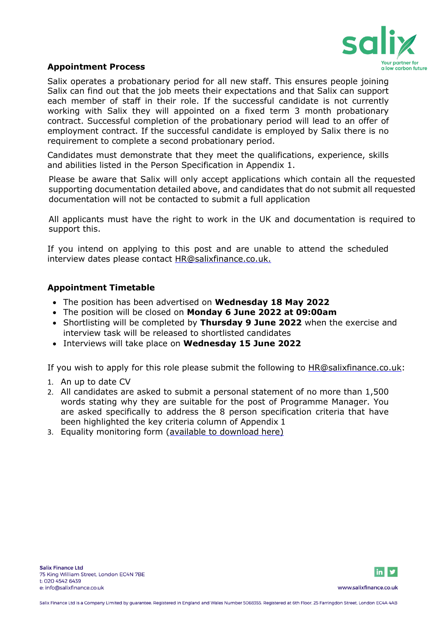

### **Appointment Process**

Salix operates a probationary period for all new staff. This ensures people joining Salix can find out that the job meets their expectations and that Salix can support each member of staff in their role. If the successful candidate is not currently working with Salix they will appointed on a fixed term 3 month probationary contract. Successful completion of the probationary period will lead to an offer of employment contract. If the successful candidate is employed by Salix there is no requirement to complete a second probationary period.

Candidates must demonstrate that they meet the qualifications, experience, skills and abilities listed in the Person Specification in Appendix 1.

Please be aware that Salix will only accept applications which contain all the requested supporting documentation detailed above, and candidates that do not submit all requested documentation will not be contacted to submit a full application

All applicants must have the right to work in the UK and documentation is required to support this.

If you intend on applying to this post and are unable to attend the scheduled interview dates please contact [HR@salixfinance.co.uk.](mailto:Samantha.gillard@salixfinance.co.uk)

### **Appointment Timetable**

- The position has been advertised on **Wednesday 18 May 2022**
- The position will be closed on **Monday 6 June 2022 at 09:00am**
- Shortlisting will be completed by **Thursday 9 June 2022** when the exercise and interview task will be released to shortlisted candidates
- Interviews will take place on **Wednesday 15 June 2022**

If you wish to apply for this role please submit the following to **HR@salixfinance.co.uk:** 

- 1. An up to date CV
- 2. All candidates are asked to submit a personal statement of no more than 1,500 words stating why they are suitable for the post of Programme Manager. You are asked specifically to address the 8 person specification criteria that have been highlighted the key criteria column of Appendix 1
- 3. Equality monitoring form [\(available to download](http://salixfinance.co.uk/sites/default/files/equality_monitoring_form_equality_act_compliant_0_2.doc) here)



www.salixfinance.co.uk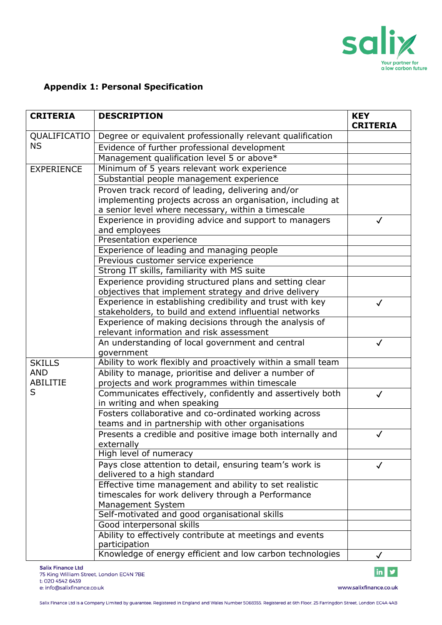

# **Appendix 1: Personal Specification**

| <b>CRITERIA</b>   | <b>DESCRIPTION</b>                                                 | <b>KEY</b><br><b>CRITERIA</b> |
|-------------------|--------------------------------------------------------------------|-------------------------------|
| QUALIFICATIO      | Degree or equivalent professionally relevant qualification         |                               |
| <b>NS</b>         | Evidence of further professional development                       |                               |
|                   | Management qualification level 5 or above*                         |                               |
| <b>EXPERIENCE</b> | Minimum of 5 years relevant work experience                        |                               |
|                   | Substantial people management experience                           |                               |
|                   | Proven track record of leading, delivering and/or                  |                               |
|                   | implementing projects across an organisation, including at         |                               |
|                   | a senior level where necessary, within a timescale                 |                               |
|                   | Experience in providing advice and support to managers             | $\checkmark$                  |
|                   | and employees                                                      |                               |
|                   | Presentation experience                                            |                               |
|                   | Experience of leading and managing people                          |                               |
|                   | Previous customer service experience                               |                               |
|                   | Strong IT skills, familiarity with MS suite                        |                               |
|                   | Experience providing structured plans and setting clear            |                               |
|                   | objectives that implement strategy and drive delivery              |                               |
|                   | Experience in establishing credibility and trust with key          | $\checkmark$                  |
|                   | stakeholders, to build and extend influential networks             |                               |
|                   | Experience of making decisions through the analysis of             |                               |
|                   | relevant information and risk assessment                           |                               |
|                   | An understanding of local government and central<br>government     | $\checkmark$                  |
| <b>SKILLS</b>     | Ability to work flexibly and proactively within a small team       |                               |
| <b>AND</b>        | Ability to manage, prioritise and deliver a number of              |                               |
| <b>ABILITIE</b>   | projects and work programmes within timescale                      |                               |
| S                 | Communicates effectively, confidently and assertively both         | $\checkmark$                  |
|                   | in writing and when speaking                                       |                               |
|                   | Fosters collaborative and co-ordinated working across              |                               |
|                   | teams and in partnership with other organisations                  |                               |
|                   | Presents a credible and positive image both internally and         | $\checkmark$                  |
|                   | externally                                                         |                               |
|                   | High level of numeracy                                             |                               |
|                   | Pays close attention to detail, ensuring team's work is            | $\checkmark$                  |
|                   | delivered to a high standard                                       |                               |
|                   | Effective time management and ability to set realistic             |                               |
|                   | timescales for work delivery through a Performance                 |                               |
|                   | Management System<br>Self-motivated and good organisational skills |                               |
|                   | Good interpersonal skills                                          |                               |
|                   | Ability to effectively contribute at meetings and events           |                               |
|                   | participation                                                      |                               |
|                   | Knowledge of energy efficient and low carbon technologies          | $\checkmark$                  |

www.salixfinance.co.uk

 $\overline{\mathbf{m}}$  y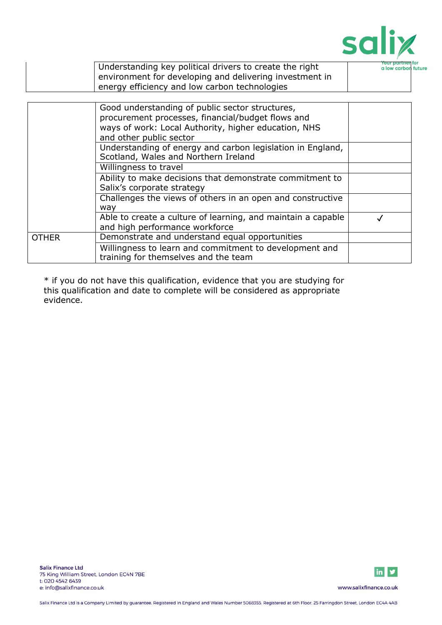

|              | Understanding key political drivers to create the right<br>environment for developing and delivering investment in                                                                      | <b>Your partner</b><br>a low carbor |
|--------------|-----------------------------------------------------------------------------------------------------------------------------------------------------------------------------------------|-------------------------------------|
|              | energy efficiency and low carbon technologies                                                                                                                                           |                                     |
|              |                                                                                                                                                                                         |                                     |
|              | Good understanding of public sector structures,<br>procurement processes, financial/budget flows and<br>ways of work: Local Authority, higher education, NHS<br>and other public sector |                                     |
|              | Understanding of energy and carbon legislation in England,<br>Scotland, Wales and Northern Ireland                                                                                      |                                     |
|              | Willingness to travel                                                                                                                                                                   |                                     |
|              | Ability to make decisions that demonstrate commitment to<br>Salix's corporate strategy                                                                                                  |                                     |
|              | Challenges the views of others in an open and constructive<br>way                                                                                                                       |                                     |
|              | Able to create a culture of learning, and maintain a capable<br>and high performance workforce                                                                                          |                                     |
| <b>OTHER</b> | Demonstrate and understand equal opportunities                                                                                                                                          |                                     |
|              | Willingness to learn and commitment to development and<br>training for themselves and the team                                                                                          |                                     |

\* if you do not have this qualification, evidence that you are studying for this qualification and date to complete will be considered as appropriate evidence.

 $\mathbf{I}$ 



www.salixfinance.co.uk